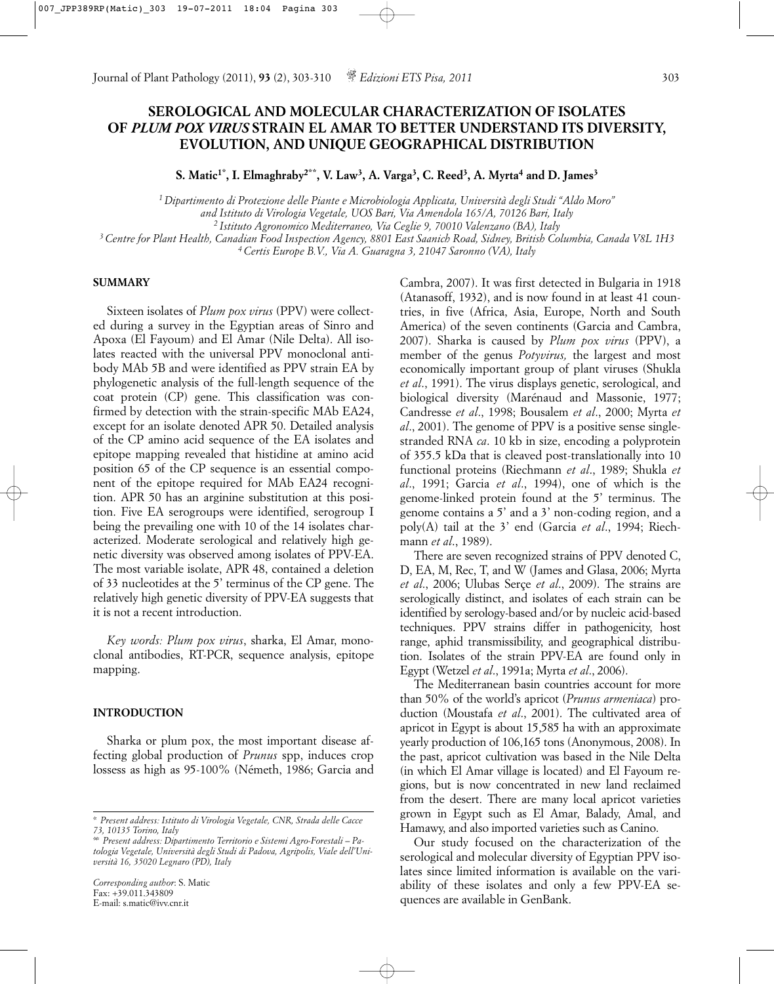## **SEROLOGICAL AND MOLECULAR CHARACTERIZATION OF ISOLATES OF** *PLUM POX VIRUS* **STRAIN EL AMAR TO BETTER UNDERSTAND ITS DIVERSITY, EVOLUTION, AND UNIQUE GEOGRAPHICAL DISTRIBUTION**

S. Matic<sup>1\*</sup>, I. Elmaghraby<sup>2\*\*</sup>, V. Law<sup>3</sup>, A. Varga<sup>3</sup>, C. Reed<sup>3</sup>, A. Myrta<sup>4</sup> and D. James<sup>3</sup>

*1 Dipartimento di Protezione delle Piante e Microbiologia Applicata, Università degli Studi "Aldo Moro" and Istituto di Virologia Vegetale, UOS Bari, Via Amendola 165/A, 70126 Bari, Italy*

*2 Istituto Agronomico Mediterraneo, Via Ceglie 9, 70010 Valenzano (BA), Italy*

*3 Centre for Plant Health, Canadian Food Inspection Agency, 8801 East Saanich Road, Sidney, British Columbia, Canada V8L 1H3*

*4 Certis Europe B.V., Via A. Guaragna 3, 21047 Saronno (VA), Italy*

## **SUMMARY**

Sixteen isolates of *Plum pox virus* (PPV) were collected during a survey in the Egyptian areas of Sinro and Apoxa (El Fayoum) and El Amar (Nile Delta). All isolates reacted with the universal PPV monoclonal antibody MAb 5B and were identified as PPV strain EA by phylogenetic analysis of the full-length sequence of the coat protein (CP) gene. This classification was confirmed by detection with the strain-specific MAb EA24, except for an isolate denoted APR 50. Detailed analysis of the CP amino acid sequence of the EA isolates and epitope mapping revealed that histidine at amino acid position 65 of the CP sequence is an essential component of the epitope required for MAb EA24 recognition. APR 50 has an arginine substitution at this position. Five EA serogroups were identified, serogroup I being the prevailing one with 10 of the 14 isolates characterized. Moderate serological and relatively high genetic diversity was observed among isolates of PPV-EA. The most variable isolate, APR 48, contained a deletion of 33 nucleotides at the 5' terminus of the CP gene. The relatively high genetic diversity of PPV-EA suggests that it is not a recent introduction.

*Key words: Plum pox virus*, sharka, El Amar, monoclonal antibodies, RT-PCR, sequence analysis, epitope mapping.

#### **INTRODUCTION**

Sharka or plum pox, the most important disease affecting global production of *Prunus* spp, induces crop lossess as high as 95-100% (Németh, 1986; Garcia and Cambra, 2007). It was first detected in Bulgaria in 1918 (Atanasoff, 1932), and is now found in at least 41 countries, in five (Africa, Asia, Europe, North and South America) of the seven continents (Garcia and Cambra, 2007). Sharka is caused by *Plum pox virus* (PPV), a member of the genus *Potyvirus,* the largest and most economically important group of plant viruses (Shukla *et al*., 1991). The virus displays genetic, serological, and biological diversity (Marénaud and Massonie, 1977; Candresse *et al*., 1998; Bousalem *et al*., 2000; Myrta *et al*., 2001). The genome of PPV is a positive sense singlestranded RNA *ca*. 10 kb in size, encoding a polyprotein of 355.5 kDa that is cleaved post-translationally into 10 functional proteins (Riechmann *et al*., 1989; Shukla *et al*., 1991; Garcia *et al*., 1994), one of which is the genome-linked protein found at the 5' terminus. The genome contains a 5' and a 3' non-coding region, and a poly(A) tail at the 3' end (Garcia *et al*., 1994; Riechmann *et al*., 1989).

There are seven recognized strains of PPV denoted C, D, EA, M, Rec, T, and W (James and Glasa, 2006; Myrta *et al*., 2006; Ulubas Serçe *et al*., 2009). The strains are serologically distinct, and isolates of each strain can be identified by serology-based and/or by nucleic acid-based techniques. PPV strains differ in pathogenicity, host range, aphid transmissibility, and geographical distribution. Isolates of the strain PPV-EA are found only in Egypt (Wetzel *et al*., 1991a; Myrta *et al*., 2006).

The Mediterranean basin countries account for more than 50% of the world's apricot (*Prunus armeniaca*) production (Moustafa *et al*., 2001). The cultivated area of apricot in Egypt is about 15,585 ha with an approximate yearly production of 106,165 tons (Anonymous, 2008). In the past, apricot cultivation was based in the Nile Delta (in which El Amar village is located) and El Fayoum regions, but is now concentrated in new land reclaimed from the desert. There are many local apricot varieties grown in Egypt such as El Amar, Balady, Amal, and Hamawy, and also imported varieties such as Canino.

Our study focused on the characterization of the serological and molecular diversity of Egyptian PPV isolates since limited information is available on the variability of these isolates and only a few PPV-EA sequences are available in GenBank.

*<sup>\*</sup> Present address: Istituto di Virologia Vegetale, CNR, Strada delle Cacce 73, 10135 Torino, Italy*

*<sup>\*\*</sup> Present address: Dipartimento Territorio e Sistemi Agro-Forestali – Patologia Vegetale, Università degli Studi di Padova, Agripolis, Viale dell'Università 16, 35020 Legnaro (PD), Italy*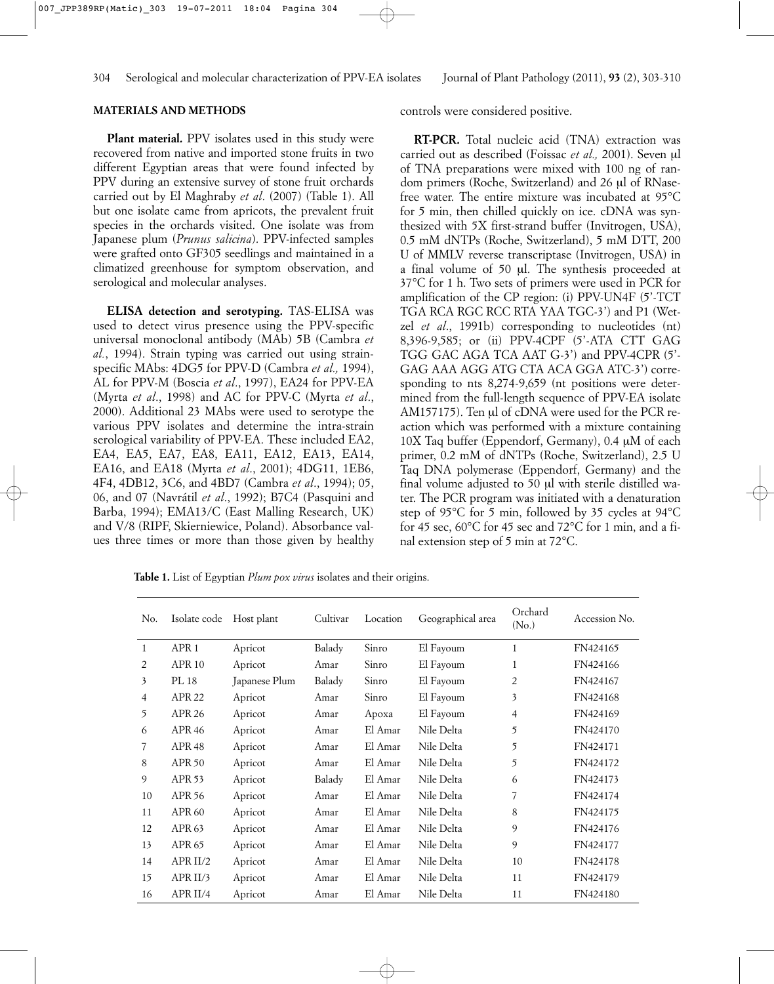## **MATERIALS AND METHODS**

**Plant material.** PPV isolates used in this study were recovered from native and imported stone fruits in two different Egyptian areas that were found infected by PPV during an extensive survey of stone fruit orchards carried out by El Maghraby *et al*. (2007) (Table 1). All but one isolate came from apricots, the prevalent fruit species in the orchards visited. One isolate was from Japanese plum (*Prunus salicina*). PPV-infected samples were grafted onto GF305 seedlings and maintained in a climatized greenhouse for symptom observation, and serological and molecular analyses.

**ELISA detection and serotyping.** TAS-ELISA was used to detect virus presence using the PPV-specific universal monoclonal antibody (MAb) 5B (Cambra *et al.*, 1994). Strain typing was carried out using strainspecific MAbs: 4DG5 for PPV-D (Cambra *et al.,* 1994), AL for PPV-M (Boscia *et al*., 1997), EA24 for PPV-EA (Myrta *et al*., 1998) and AC for PPV-C (Myrta *et al*., 2000). Additional 23 MAbs were used to serotype the various PPV isolates and determine the intra-strain serological variability of PPV-EA. These included EA2, EA4, EA5, EA7, EA8, EA11, EA12, EA13, EA14, EA16, and EA18 (Myrta *et al*., 2001); 4DG11, 1EB6, 4F4, 4DB12, 3C6, and 4BD7 (Cambra *et al*., 1994); 05, 06, and 07 (Navrátil *et al*., 1992); B7C4 (Pasquini and Barba, 1994); EMA13/C (East Malling Research, UK) and V/8 (RIPF, Skierniewice, Poland). Absorbance values three times or more than those given by healthy controls were considered positive.

**RT-PCR.** Total nucleic acid (TNA) extraction was carried out as described (Foissac *et al.*, 2001). Seven ul of TNA preparations were mixed with 100 ng of random primers (Roche, Switzerland) and 26 µl of RNasefree water. The entire mixture was incubated at 95°C for 5 min, then chilled quickly on ice. cDNA was synthesized with 5X first-strand buffer (Invitrogen, USA), 0.5 mM dNTPs (Roche, Switzerland), 5 mM DTT, 200 U of MMLV reverse transcriptase (Invitrogen, USA) in a final volume of 50 µl. The synthesis proceeded at 37°C for 1 h. Two sets of primers were used in PCR for amplification of the CP region: (i) PPV-UN4F (5'-TCT TGA RCA RGC RCC RTA YAA TGC-3') and P1 (Wetzel *et al*., 1991b) corresponding to nucleotides (nt) 8,396-9,585; or (ii) PPV-4CPF (5'-ATA CTT GAG TGG GAC AGA TCA AAT G-3') and PPV-4CPR (5'- GAG AAA AGG ATG CTA ACA GGA ATC-3') corresponding to nts 8,274-9,659 (nt positions were determined from the full-length sequence of PPV-EA isolate AM157175). Ten µl of cDNA were used for the PCR reaction which was performed with a mixture containing 10X Taq buffer (Eppendorf, Germany), 0.4 µM of each primer, 0.2 mM of dNTPs (Roche, Switzerland), 2.5 U Taq DNA polymerase (Eppendorf, Germany) and the final volume adjusted to 50 µl with sterile distilled water. The PCR program was initiated with a denaturation step of 95°C for 5 min, followed by 35 cycles at 94°C for 45 sec,  $60^{\circ}$ C for 45 sec and 72 $^{\circ}$ C for 1 min, and a final extension step of 5 min at 72°C.

**Table 1.** List of Egyptian *Plum pox virus* isolates and their origins.

| No.            | Isolate code        | Host plant    | Cultivar | Location | Geographical area | Orchard<br>(N <sub>o</sub> ) | Accession No. |  |
|----------------|---------------------|---------------|----------|----------|-------------------|------------------------------|---------------|--|
| $\mathbf{1}$   | APR <sub>1</sub>    | Apricot       | Balady   | Sinro    | El Fayoum         | $\mathbf{1}$                 | FN424165      |  |
| 2              | <b>APR 10</b>       | Apricot       | Amar     | Sinro    | El Fayoum         | 1                            | FN424166      |  |
| 3              | PL 18               | Japanese Plum | Balady   | Sinro    | El Fayoum         | 2                            | FN424167      |  |
| $\overline{4}$ | APR <sub>22</sub>   | Apricot       | Amar     | Sinro    | El Fayoum         | 3                            | FN424168      |  |
| 5              | <b>APR 26</b>       | Apricot       | Amar     | Apoxa    | El Fayoum         | $\overline{4}$               | FN424169      |  |
| 6              | <b>APR 46</b>       | Apricot       | Amar     | El Amar  | Nile Delta        | 5                            | FN424170      |  |
| 7              | APR <sub>48</sub>   | Apricot       | Amar     | El Amar  | Nile Delta        | 5                            | FN424171      |  |
| 8              | <b>APR 50</b>       | Apricot       | Amar     | El Amar  | Nile Delta        | 5                            | FN424172      |  |
| 9              | <b>APR 53</b>       | Apricot       | Balady   | El Amar  | Nile Delta        | 6                            | FN424173      |  |
| 10             | APR 56              | Apricot       | Amar     | El Amar  | Nile Delta        | 7                            | FN424174      |  |
| 11             | <b>APR 60</b>       | Apricot       | Amar     | El Amar  | Nile Delta        | 8                            | FN424175      |  |
| 12             | APR <sub>63</sub>   | Apricot       | Amar     | El Amar  | Nile Delta        | 9                            | FN424176      |  |
| 13             | APR 65              | Apricot       | Amar     | El Amar  | Nile Delta        | 9                            | FN424177      |  |
| 14             | APR II/2            | Apricot       | Amar     | El Amar  | Nile Delta        | 10                           | FN424178      |  |
| 15             | APR II/3            | Apricot       | Amar     | El Amar  | Nile Delta        | 11                           | FN424179      |  |
| 16             | APR <sub>II/4</sub> | Apricot       | Amar     | El Amar  | Nile Delta        | 11                           | FN424180      |  |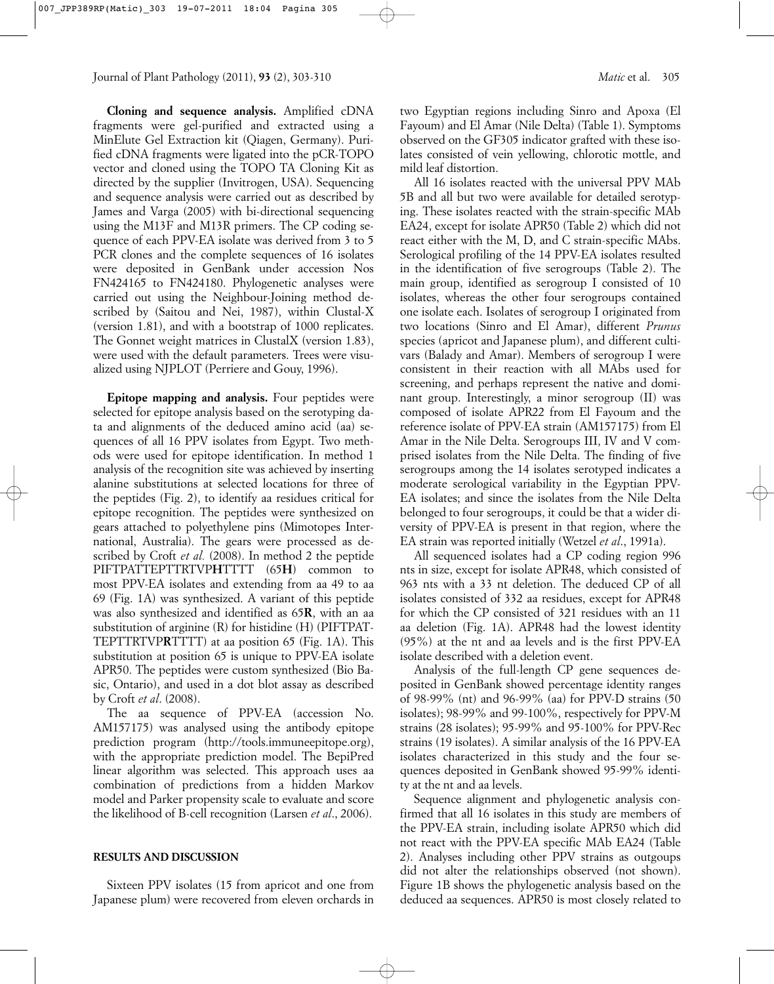**Cloning and sequence analysis.** Amplified cDNA fragments were gel-purified and extracted using a MinElute Gel Extraction kit (Qiagen, Germany). Purified cDNA fragments were ligated into the pCR-TOPO vector and cloned using the TOPO TA Cloning Kit as directed by the supplier (Invitrogen, USA). Sequencing and sequence analysis were carried out as described by James and Varga (2005) with bi-directional sequencing using the M13F and M13R primers. The CP coding sequence of each PPV-EA isolate was derived from 3 to 5 PCR clones and the complete sequences of 16 isolates were deposited in GenBank under accession Nos FN424165 to FN424180. Phylogenetic analyses were carried out using the Neighbour-Joining method described by (Saitou and Nei, 1987), within Clustal-X (version 1.81), and with a bootstrap of 1000 replicates. The Gonnet weight matrices in ClustalX (version 1.83), were used with the default parameters. Trees were visualized using NJPLOT (Perriere and Gouy, 1996).

**Epitope mapping and analysis.** Four peptides were selected for epitope analysis based on the serotyping data and alignments of the deduced amino acid (aa) sequences of all 16 PPV isolates from Egypt. Two methods were used for epitope identification. In method 1 analysis of the recognition site was achieved by inserting alanine substitutions at selected locations for three of the peptides (Fig. 2), to identify aa residues critical for epitope recognition. The peptides were synthesized on gears attached to polyethylene pins (Mimotopes International, Australia). The gears were processed as described by Croft *et al.* (2008). In method 2 the peptide PIFTPATTEPTTRTVP**H**TTTT (65**H**) common to most PPV-EA isolates and extending from aa 49 to aa 69 (Fig. 1A) was synthesized. A variant of this peptide was also synthesized and identified as 65**R**, with an aa substitution of arginine (R) for histidine (H) (PIFTPAT-TEPTTRTVP**R**TTTT) at aa position 65 (Fig. 1A). This substitution at position 65 is unique to PPV-EA isolate APR50. The peptides were custom synthesized (Bio Basic, Ontario), and used in a dot blot assay as described by Croft *et al*. (2008).

The aa sequence of PPV-EA (accession No. AM157175) was analysed using the antibody epitope prediction program (http://tools.immuneepitope.org), with the appropriate prediction model. The BepiPred linear algorithm was selected. This approach uses aa combination of predictions from a hidden Markov model and Parker propensity scale to evaluate and score the likelihood of B-cell recognition (Larsen *et al*., 2006).

## **RESULTS AND DISCUSSION**

Sixteen PPV isolates (15 from apricot and one from Japanese plum) were recovered from eleven orchards in two Egyptian regions including Sinro and Apoxa (El Fayoum) and El Amar (Nile Delta) (Table 1). Symptoms observed on the GF305 indicator grafted with these isolates consisted of vein yellowing, chlorotic mottle, and mild leaf distortion.

All 16 isolates reacted with the universal PPV MAb 5B and all but two were available for detailed serotyping. These isolates reacted with the strain-specific MAb EA24, except for isolate APR50 (Table 2) which did not react either with the M, D, and C strain-specific MAbs. Serological profiling of the 14 PPV-EA isolates resulted in the identification of five serogroups (Table 2). The main group, identified as serogroup I consisted of 10 isolates, whereas the other four serogroups contained one isolate each. Isolates of serogroup I originated from two locations (Sinro and El Amar), different *Prunus* species (apricot and Japanese plum), and different cultivars (Balady and Amar). Members of serogroup I were consistent in their reaction with all MAbs used for screening, and perhaps represent the native and dominant group. Interestingly, a minor serogroup (II) was composed of isolate APR22 from El Fayoum and the reference isolate of PPV-EA strain (AM157175) from El Amar in the Nile Delta. Serogroups III, IV and V comprised isolates from the Nile Delta. The finding of five serogroups among the 14 isolates serotyped indicates a moderate serological variability in the Egyptian PPV-EA isolates; and since the isolates from the Nile Delta belonged to four serogroups, it could be that a wider diversity of PPV-EA is present in that region, where the EA strain was reported initially (Wetzel *et al*., 1991a).

All sequenced isolates had a CP coding region 996 nts in size, except for isolate APR48, which consisted of 963 nts with a 33 nt deletion. The deduced CP of all isolates consisted of 332 aa residues, except for APR48 for which the CP consisted of 321 residues with an 11 aa deletion (Fig. 1A). APR48 had the lowest identity (95%) at the nt and aa levels and is the first PPV-EA isolate described with a deletion event.

Analysis of the full-length CP gene sequences deposited in GenBank showed percentage identity ranges of 98-99% (nt) and 96-99% (aa) for PPV-D strains (50 isolates); 98-99% and 99-100%, respectively for PPV-M strains (28 isolates); 95-99% and 95-100% for PPV-Rec strains (19 isolates). A similar analysis of the 16 PPV-EA isolates characterized in this study and the four sequences deposited in GenBank showed 95-99% identity at the nt and aa levels.

Sequence alignment and phylogenetic analysis confirmed that all 16 isolates in this study are members of the PPV-EA strain, including isolate APR50 which did not react with the PPV-EA specific MAb EA24 (Table 2). Analyses including other PPV strains as outgoups did not alter the relationships observed (not shown). Figure 1B shows the phylogenetic analysis based on the deduced aa sequences. APR50 is most closely related to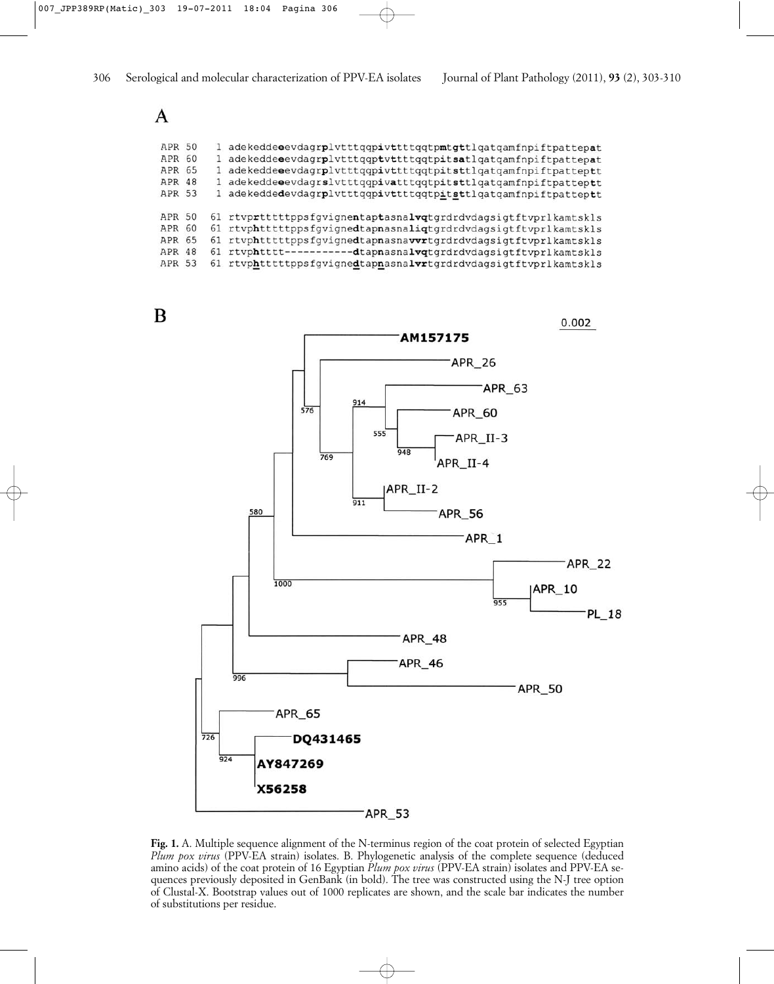# $\mathbf{A}$

| <b>APR 50</b> |  | 1 adekeddeeevdagrplvttttqqpivttttqqtpmtgttlqatqamfnpiftpattepat |
|---------------|--|-----------------------------------------------------------------|
| APR 60        |  | 1 adekeddeeevdagrplvttttqqptvttttqqtpitsatlqatqamfnpiftpattepat |
| APR 65        |  | 1 adekeddeeevdagrplvttttqqpivttttqqtpitsttlqatqamfnpiftpatteptt |
| <b>APR 48</b> |  | 1 adekeddeeevdagrslvtttqqpivatttqqtpitsttlqatqamfnpiftpatteptt  |
| APR 53        |  | 1 adekeddedevdagrplvttttqqpivttttqqtpitsttlqatqamfnpiftpatteptt |
| APR 50        |  | 61 rtvprtttttppsfqvignentaptasnalvqtqrdrdvdaqsiqtftvprlkamtskls |
| APR 60        |  | 61 rtvphtttttppsfgvignedtapnasnaliqtgrdrdvdagsigtftvprlkamtskls |
| APR 65        |  | 61 rtvphtttttppsfqviqnedtapnasnavvrtqrdrdvdaqsiqtftvprlkamtskls |
| <b>APR 48</b> |  | 61 rtvphtttt-----------dtapnasnalvqtgrdrdvdagsigtftvprlkamtskls |
| <b>APR 53</b> |  | 61 rtvphtttttppsfgvignedtapnasnalvrtgrdrdvdagsigtftvprlkamtskls |

B



**Fig. 1.** A. Multiple sequence alignment of the N-terminus region of the coat protein of selected Egyptian *Plum pox virus* (PPV-EA strain) isolates. B. Phylogenetic analysis of the complete sequence (deduced amino acids) of the coat protein of 16 Egyptian *Plum pox virus* (PPV-EA strain) isolates and PPV-EA sequences previously deposited in GenBank (in bold). The tree was constructed using the N-J tree option of Clustal-X. Bootstrap values out of 1000 replicates are shown, and the scale bar indicates the number of substitutions per residue.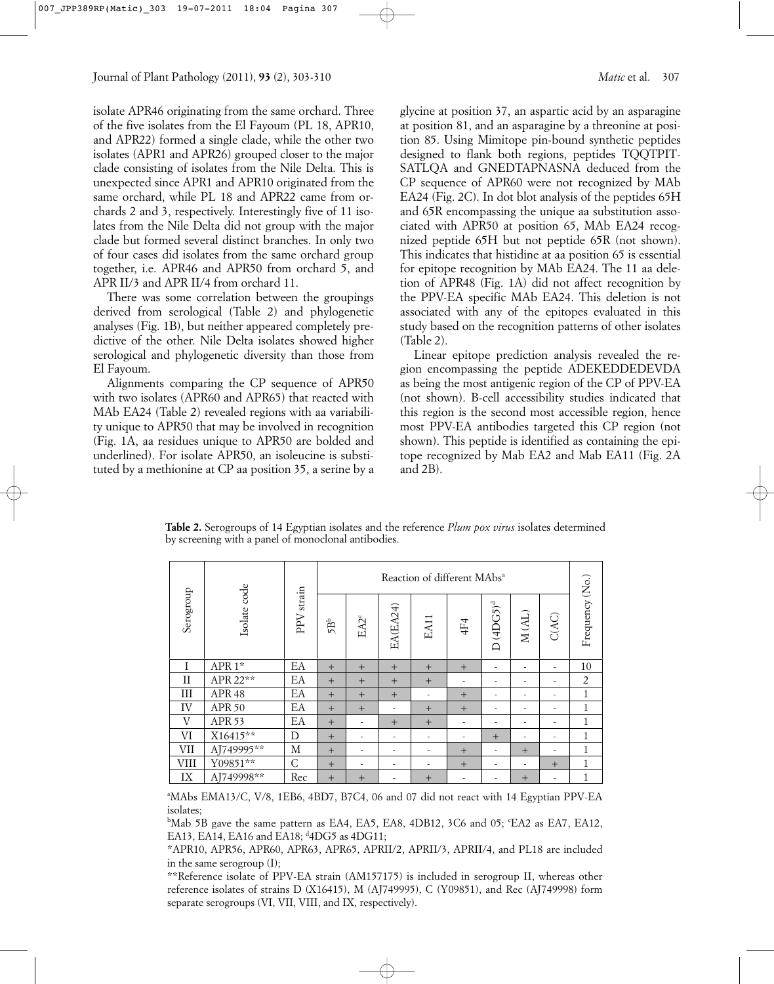isolate APR46 originating from the same orchard. Three of the five isolates from the El Fayoum (PL 18, APR10, and APR22) formed a single clade, while the other two isolates (APR1 and APR26) grouped closer to the major clade consisting of isolates from the Nile Delta. This is unexpected since APR1 and APR10 originated from the same orchard, while PL 18 and APR22 came from orchards 2 and 3, respectively. Interestingly five of 11 isolates from the Nile Delta did not group with the major clade but formed several distinct branches. In only two of four cases did isolates from the same orchard group together, i.e. APR46 and APR50 from orchard 5, and APR II/3 and APR II/4 from orchard 11.

There was some correlation between the groupings derived from serological (Table 2) and phylogenetic analyses (Fig. 1B), but neither appeared completely predictive of the other. Nile Delta isolates showed higher serological and phylogenetic diversity than those from El Fayoum.

Alignments comparing the CP sequence of APR50 with two isolates (APR60 and APR65) that reacted with MAb EA24 (Table 2) revealed regions with aa variability unique to APR50 that may be involved in recognition (Fig. 1A, aa residues unique to APR50 are bolded and underlined). For isolate APR50, an isoleucine is substituted by a methionine at CP aa position 35, a serine by a glycine at position 37, an aspartic acid by an asparagine at position 81, and an asparagine by a threonine at position 85. Using Mimitope pin-bound synthetic peptides designed to flank both regions, peptides TQQTPIT-SATLQA and GNEDTAPNASNA deduced from the CP sequence of APR60 were not recognized by MAb EA24 (Fig. 2C). In dot blot analysis of the peptides 65H and 65R encompassing the unique aa substitution associated with APR50 at position 65, MAb EA24 recognized peptide 65H but not peptide 65R (not shown). This indicates that histidine at aa position 65 is essential for epitope recognition by MAb EA24. The 11 aa deletion of APR48 (Fig. 1A) did not affect recognition by the PPV-EA specific MAb EA24. This deletion is not associated with any of the epitopes evaluated in this

(Table 2). Linear epitope prediction analysis revealed the region encompassing the peptide ADEKEDDEDEVDA as being the most antigenic region of the CP of PPV-EA (not shown). B-cell accessibility studies indicated that this region is the second most accessible region, hence most PPV-EA antibodies targeted this CP region (not shown). This peptide is identified as containing the epitope recognized by Mab EA2 and Mab EA11 (Fig. 2A and 2B).

study based on the recognition patterns of other isolates

|           |                   |              | Reaction of different MAbs <sup>a</sup> |                                |                          |                          |                          |                      |                          |       |                 |
|-----------|-------------------|--------------|-----------------------------------------|--------------------------------|--------------------------|--------------------------|--------------------------|----------------------|--------------------------|-------|-----------------|
| Serogroup | Isolate code      | PPV strain   | $5\mathrm{B}^{\mathrm{b}}$              | $\text{E}\text{A2}^{\text{c}}$ | EA(EA24)                 | EA11                     | 4F4                      | $(4DC5)^d$<br>$\Box$ | $M (AL)$                 | C(AC) | Frequency (No.) |
|           | APR 1*            | EA           | $+$                                     | $+$                            | $+$                      | $+$                      | $+$                      | ۰                    | ۰                        | ٠     | 10              |
| П         | APR 22**          | EA           | $+$                                     | $+$                            | $+$                      | $+$                      | $\overline{\phantom{a}}$ | ٠                    | $\overline{\phantom{a}}$ |       | $\overline{2}$  |
| Ш         | APR <sub>48</sub> | EA           | $+$                                     | $+$                            | $+$                      | ۰                        | $+$                      | ۰                    | $\overline{\phantom{a}}$ | ٠     | 1               |
| IV        | APR 50            | EA           | $+$                                     | $+$                            | $\overline{\phantom{a}}$ | $+$                      | $+$                      | ۰                    | $\overline{\phantom{a}}$ | ٠     | $\mathbf{1}$    |
| V         | APR <sub>53</sub> | EA           | $+$                                     | $\overline{\phantom{a}}$       | $+$                      | $+$                      | ۰                        | ٠                    | $\overline{\phantom{a}}$ |       | 1               |
| VI        | X16415**          | D            | $+$                                     | ۰                              | $\overline{\phantom{a}}$ | ۰                        | ٠                        | $+$                  | $\overline{\phantom{a}}$ | ۰     | $\mathbf{1}$    |
| VІІ       | AJ749995**        | М            | $+$                                     | $\overline{\phantom{a}}$       | $\overline{\phantom{a}}$ | ۰                        | $+$                      | ۰                    | $+$                      | ٠     | $\mathbf{1}$    |
| VIII      | $Y09851**$        | $\mathsf{C}$ | $+$                                     | $\overline{\phantom{a}}$       | $\overline{\phantom{a}}$ | $\overline{\phantom{a}}$ | $+$                      | ۰                    | $\overline{\phantom{a}}$ | $+$   | $\mathbf 1$     |
| IX        | AJ749998**        | Rec          | $+$                                     | $+$                            | ۰                        | $+$                      | ٠                        |                      | $+$                      | ۰     | 1               |

**Table 2.** Serogroups of 14 Egyptian isolates and the reference *Plum pox virus* isolates determined by screening with a panel of monoclonal antibodies.

a MAbs EMA13/C, V/8, 1EB6, 4BD7, B7C4, 06 and 07 did not react with 14 Egyptian PPV-EA isolates;

<sup>b</sup>Mab 5B gave the same pattern as EA4, EA5, EA8, 4DB12, 3C6 and 05; °EA2 as EA7, EA12, EA13, EA14, EA16 and EA18; <sup>d</sup>4DG5 as 4DG11;

\*APR10, APR56, APR60, APR63, APR65, APRII/2, APRII/3, APRII/4, and PL18 are included in the same serogroup (I);

\*\*Reference isolate of PPV-EA strain (AM157175) is included in serogroup II, whereas other reference isolates of strains D (X16415), M (AJ749995), C (Y09851), and Rec (AJ749998) form separate serogroups (VI, VII, VIII, and IX, respectively).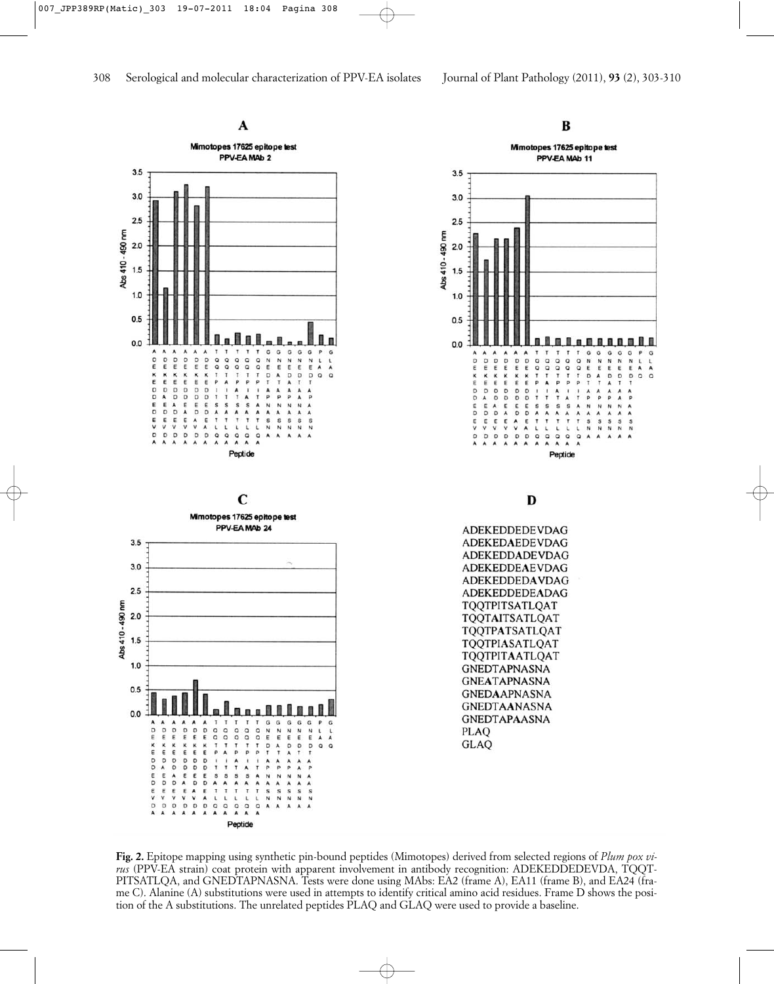

**Fig. 2.** Epitope mapping using synthetic pin-bound peptides (Mimotopes) derived from selected regions of *Plum pox virus* (PPV-EA strain) coat protein with apparent involvement in antibody recognition: ADEKEDDEDEVDA, TQQT-PITSATLQA, and GNEDTAPNASNA. Tests were done using MAbs: EA2 (frame A), EA11 (frame B), and EA24 (frame C). Alanine (A) substitutions were used in attempts to identify critical amino acid residues. Frame D shows the position of the A substitutions. The unrelated peptides PLAQ and GLAQ were used to provide a baseline.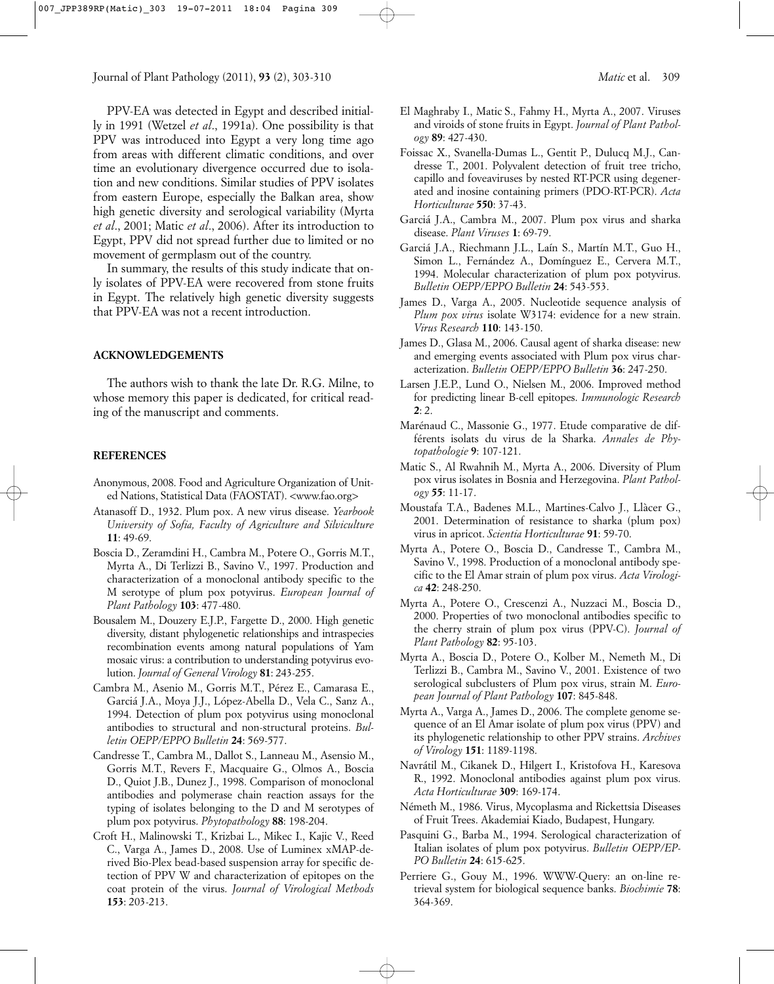PPV-EA was detected in Egypt and described initially in 1991 (Wetzel *et al*., 1991a). One possibility is that PPV was introduced into Egypt a very long time ago from areas with different climatic conditions, and over time an evolutionary divergence occurred due to isolation and new conditions. Similar studies of PPV isolates from eastern Europe, especially the Balkan area, show high genetic diversity and serological variability (Myrta *et al*., 2001; Matic *et al*., 2006). After its introduction to Egypt, PPV did not spread further due to limited or no movement of germplasm out of the country.

In summary, the results of this study indicate that only isolates of PPV-EA were recovered from stone fruits in Egypt. The relatively high genetic diversity suggests that PPV-EA was not a recent introduction.

#### **ACKNOWLEDGEMENTS**

The authors wish to thank the late Dr. R.G. Milne, to whose memory this paper is dedicated, for critical reading of the manuscript and comments.

#### **REFERENCES**

- Anonymous, 2008. Food and Agriculture Organization of United Nations, Statistical Data (FAOSTAT). <www.fao.org>
- Atanasoff D., 1932. Plum pox. A new virus disease. *Yearbook University of Sofia, Faculty of Agriculture and Silviculture* **11**: 49-69.
- Boscia D., Zeramdini H., Cambra M., Potere O., Gorris M.T., Myrta A., Di Terlizzi B., Savino V., 1997. Production and characterization of a monoclonal antibody specific to the M serotype of plum pox potyvirus. *European Journal of Plant Pathology* **103**: 477-480.
- Bousalem M., Douzery E.J.P., Fargette D., 2000. High genetic diversity, distant phylogenetic relationships and intraspecies recombination events among natural populations of Yam mosaic virus: a contribution to understanding potyvirus evolution. *Journal of General Virology* **81**: 243-255.
- Cambra M., Asenio M., Gorris M.T., Pérez E., Camarasa E., Garciá J.A., Moya J.J., López-Abella D., Vela C., Sanz A., 1994. Detection of plum pox potyvirus using monoclonal antibodies to structural and non-structural proteins. *Bulletin OEPP/EPPO Bulletin* **24**: 569-577.
- Candresse T., Cambra M., Dallot S., Lanneau M., Asensio M., Gorris M.T., Revers F., Macquaire G., Olmos A., Boscia D., Quiot J.B., Dunez J., 1998. Comparison of monoclonal antibodies and polymerase chain reaction assays for the typing of isolates belonging to the D and M serotypes of plum pox potyvirus. *Phytopathology* **88**: 198-204.
- Croft H., Malinowski T., Krizbai L., Mikec I., Kajic V., Reed C., Varga A., James D., 2008. Use of Luminex xMAP-derived Bio-Plex bead-based suspension array for specific detection of PPV W and characterization of epitopes on the coat protein of the virus. *Journal of Virological Methods* **153**: 203-213.
- El Maghraby I., Matic S., Fahmy H., Myrta A., 2007. Viruses and viroids of stone fruits in Egypt. *Journal of Plant Pathology* **89**: 427-430.
- Foissac X., Svanella-Dumas L., Gentit P., Dulucq M.J., Candresse T., 2001. Polyvalent detection of fruit tree tricho, capillo and foveaviruses by nested RT-PCR using degenerated and inosine containing primers (PDO-RT-PCR). *Acta Horticulturae* **550**: 37-43.
- Garciá J.A., Cambra M., 2007. Plum pox virus and sharka disease. *Plant Viruses* **1**: 69-79.
- Garciá J.A., Riechmann J.L., Laín S., Martín M.T., Guo H., Simon L., Fernández A., Domínguez E., Cervera M.T., 1994. Molecular characterization of plum pox potyvirus. *Bulletin OEPP/EPPO Bulletin* **24**: 543-553.
- James D., Varga A., 2005. Nucleotide sequence analysis of *Plum pox virus* isolate W3174: evidence for a new strain. *Virus Research* **110**: 143-150.
- James D., Glasa M., 2006. Causal agent of sharka disease: new and emerging events associated with Plum pox virus characterization. *Bulletin OEPP/EPPO Bulletin* **36**: 247-250.
- Larsen J.E.P., Lund O., Nielsen M., 2006. Improved method for predicting linear B-cell epitopes. *Immunologic Research* **2**: 2.
- Marénaud C., Massonie G., 1977. Etude comparative de différents isolats du virus de la Sharka. *Annales de Phytopathologie* **9**: 107-121.
- Matic S., Al Rwahnih M., Myrta A., 2006. Diversity of Plum pox virus isolates in Bosnia and Herzegovina. *Plant Pathology* **55**: 11-17.
- Moustafa T.A., Badenes M.L., Martines-Calvo J., Llàcer G., 2001. Determination of resistance to sharka (plum pox) virus in apricot. *Scientia Horticulturae* **91**: 59-70.
- Myrta A., Potere O., Boscia D., Candresse T., Cambra M., Savino V., 1998. Production of a monoclonal antibody specific to the El Amar strain of plum pox virus. *Acta Virologica* **42**: 248-250.
- Myrta A., Potere O., Crescenzi A., Nuzzaci M., Boscia D., 2000. Properties of two monoclonal antibodies specific to the cherry strain of plum pox virus (PPV-C). *Journal of Plant Pathology* **82**: 95-103.
- Myrta A., Boscia D., Potere O., Kolber M., Nemeth M., Di Terlizzi B., Cambra M., Savino V., 2001. Existence of two serological subclusters of Plum pox virus, strain M. *European Journal of Plant Pathology* **107**: 845-848.
- Myrta A., Varga A., James D., 2006. The complete genome sequence of an El Amar isolate of plum pox virus (PPV) and its phylogenetic relationship to other PPV strains. *Archives of Virology* **151**: 1189-1198.
- Navrátil M., Cikanek D., Hilgert I., Kristofova H., Karesova R., 1992. Monoclonal antibodies against plum pox virus. *Acta Horticulturae* **309**: 169-174.
- Németh M., 1986. Virus, Mycoplasma and Rickettsia Diseases of Fruit Trees. Akademiai Kiado, Budapest, Hungary.
- Pasquini G., Barba M., 1994. Serological characterization of Italian isolates of plum pox potyvirus. *Bulletin OEPP/EP-PO Bulletin* **24**: 615-625.
- Perriere G., Gouy M., 1996. WWW-Query: an on-line retrieval system for biological sequence banks. *Biochimie* **78**: 364-369.